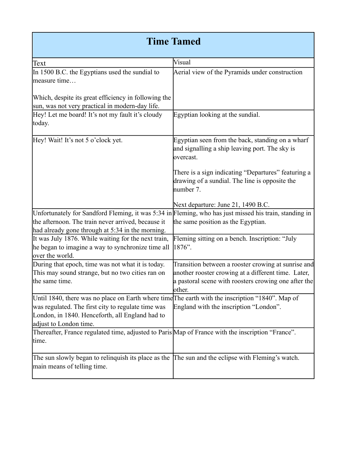## Time Tamed

| Text                                                                                                                             | Visual                                                                                                                                                                       |
|----------------------------------------------------------------------------------------------------------------------------------|------------------------------------------------------------------------------------------------------------------------------------------------------------------------------|
| In 1500 B.C. the Egyptians used the sundial to<br>measure time                                                                   | Aerial view of the Pyramids under construction                                                                                                                               |
| Which, despite its great efficiency in following the                                                                             |                                                                                                                                                                              |
| sun, was not very practical in modern-day life.                                                                                  |                                                                                                                                                                              |
| Hey! Let me board! It's not my fault it's cloudy                                                                                 | Egyptian looking at the sundial.                                                                                                                                             |
| today.                                                                                                                           |                                                                                                                                                                              |
| Hey! Wait! It's not 5 o'clock yet.                                                                                               | Egyptian seen from the back, standing on a wharf<br>and signalling a ship leaving port. The sky is<br>overcast.                                                              |
|                                                                                                                                  | There is a sign indicating "Departures" featuring a<br>drawing of a sundial. The line is opposite the<br>number 7.                                                           |
|                                                                                                                                  | Next departure: June 21, 1490 B.C.                                                                                                                                           |
| Unfortunately for Sandford Fleming, it was 5:34 in Fleming, who has just missed his train, standing in                           |                                                                                                                                                                              |
| the afternoon. The train never arrived, because it                                                                               | the same position as the Egyptian.                                                                                                                                           |
| had already gone through at 5:34 in the morning.                                                                                 |                                                                                                                                                                              |
| It was July 1876. While waiting for the next train,<br>he began to imagine a way to synchronize time all<br>over the world.      | Fleming sitting on a bench. Inscription: "July<br>1876".                                                                                                                     |
| During that epoch, time was not what it is today.<br>This may sound strange, but no two cities ran on<br>the same time.          | Transition between a rooster crowing at sunrise and<br>another rooster crowing at a different time. Later,<br>a pastoral scene with roosters crowing one after the<br>other. |
| Until 1840, there was no place on Earth where time The earth with the inscription "1840". Map of                                 |                                                                                                                                                                              |
| was regulated. The first city to regulate time was<br>London, in 1840. Henceforth, all England had to<br>adjust to London time.  | England with the inscription "London".                                                                                                                                       |
| Thereafter, France regulated time, adjusted to Paris Map of France with the inscription "France".<br>time.                       |                                                                                                                                                                              |
| The sun slowly began to relinquish its place as the The sun and the eclipse with Fleming's watch.<br>main means of telling time. |                                                                                                                                                                              |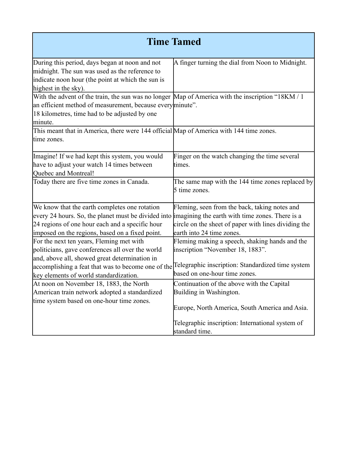|                                                                                                                                                                                                                                                            | <b>Time Tamed</b>                                                                                                                                                        |
|------------------------------------------------------------------------------------------------------------------------------------------------------------------------------------------------------------------------------------------------------------|--------------------------------------------------------------------------------------------------------------------------------------------------------------------------|
| During this period, days began at noon and not<br>midnight. The sun was used as the reference to<br>indicate noon hour (the point at which the sun is<br>highest in the sky).                                                                              | A finger turning the dial from Noon to Midnight.                                                                                                                         |
| With the advent of the train, the sun was no longer Map of America with the inscription "18KM / 1<br>an efficient method of measurement, because every minute".<br>18 kilometres, time had to be adjusted by one<br>minute.                                |                                                                                                                                                                          |
| This meant that in America, there were 144 official Map of America with 144 time zones.<br>time zones.                                                                                                                                                     |                                                                                                                                                                          |
| Imagine! If we had kept this system, you would<br>have to adjust your watch 14 times between<br>Quebec and Montreal!                                                                                                                                       | Finger on the watch changing the time several<br>times.                                                                                                                  |
| Today there are five time zones in Canada.                                                                                                                                                                                                                 | The same map with the 144 time zones replaced by<br>5 time zones.                                                                                                        |
| We know that the earth completes one rotation<br>every 24 hours. So, the planet must be divided into imagining the earth with time zones. There is a<br>24 regions of one hour each and a specific hour<br>imposed on the regions, based on a fixed point. | Fleming, seen from the back, taking notes and<br>circle on the sheet of paper with lines dividing the<br>earth into 24 time zones.                                       |
| For the next ten years, Fleming met with<br>politicians, gave conferences all over the world<br>and, above all, showed great determination in<br>accomplishing a feat that was to become one of the<br>key elements of world standardization.              | Fleming making a speech, shaking hands and the<br>inscription "November 18, 1883".<br>Telegraphic inscription: Standardized time system<br>based on one-hour time zones. |
| At noon on November 18, 1883, the North<br>American train network adopted a standardized<br>time system based on one-hour time zones.                                                                                                                      | Continuation of the above with the Capital<br>Building in Washington.                                                                                                    |
|                                                                                                                                                                                                                                                            | Europe, North America, South America and Asia.<br>Telegraphic inscription: International system of<br>standard time.                                                     |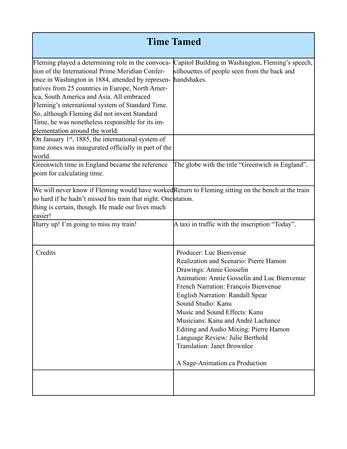| <b>Time Tamed</b>                                                                                                                                                                                                                                                                                                                                                                                                                                     |                                                                                                                                                                                                                                                                                                                                                                                                                                                                                   |  |
|-------------------------------------------------------------------------------------------------------------------------------------------------------------------------------------------------------------------------------------------------------------------------------------------------------------------------------------------------------------------------------------------------------------------------------------------------------|-----------------------------------------------------------------------------------------------------------------------------------------------------------------------------------------------------------------------------------------------------------------------------------------------------------------------------------------------------------------------------------------------------------------------------------------------------------------------------------|--|
| Fleming played a determining role in the convoca-<br>tion of the International Prime Meridian Confer-<br>ence in Washington in 1884, attended by represen-<br>tatives from 25 countries in Europe, North Amer-<br>ica, South America and Asia. All embraced<br>Fleming's international system of Standard Time.<br>So, although Fleming did not invent Standard<br>Time, he was nonetheless responsible for its im-<br>plementation around the world. | Capitol Building in Washington, Fleming's speech,<br>silhouettes of people seen from the back and<br>handshakes.                                                                                                                                                                                                                                                                                                                                                                  |  |
| On January 1st, 1885, the international system of<br>time zones was inaugurated officially in part of the<br>world.                                                                                                                                                                                                                                                                                                                                   |                                                                                                                                                                                                                                                                                                                                                                                                                                                                                   |  |
| Greenwich time in England became the reference<br>point for calculating time.                                                                                                                                                                                                                                                                                                                                                                         | The globe with the title "Greenwich in England".                                                                                                                                                                                                                                                                                                                                                                                                                                  |  |
| We will never know if Fleming would have worked Return to Fleming sitting on the bench at the train<br>so hard if he hadn't missed his train that night. One station.<br>thing is certain, though. He made our lives much<br>easier!                                                                                                                                                                                                                  |                                                                                                                                                                                                                                                                                                                                                                                                                                                                                   |  |
| Hurry up! I'm going to miss my train!                                                                                                                                                                                                                                                                                                                                                                                                                 | A taxi in traffic with the inscription "Today".                                                                                                                                                                                                                                                                                                                                                                                                                                   |  |
| Credits                                                                                                                                                                                                                                                                                                                                                                                                                                               | Producer: Luc Bienvenue<br>Realization and Scenario: Pierre Hamon<br>Drawings: Annie Gosselin<br>Animation: Annie Gosselin and Luc Bienvenue<br>French Narration: François Bienvenue<br><b>English Narration: Randall Spear</b><br>Sound Studio: Kanu<br>Music and Sound Effects: Kanu<br>Musicians: Kanu and André Lachance<br>Editing and Audio Mixing: Pierre Hamon<br>Language Review: Julie Berthold<br><b>Translation: Janet Brownlee</b><br>A Sage-Animation.ca Production |  |
|                                                                                                                                                                                                                                                                                                                                                                                                                                                       |                                                                                                                                                                                                                                                                                                                                                                                                                                                                                   |  |